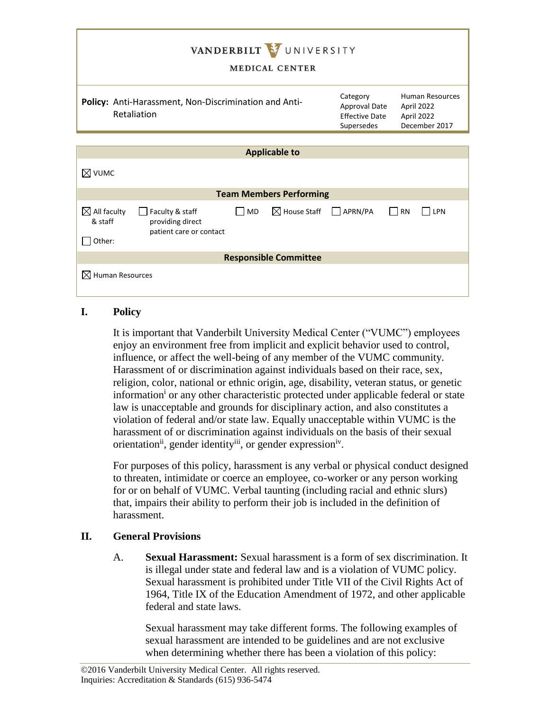| VANDERBILT VUNIVERSITY<br><b>MEDICAL CENTER</b>                                                                                                    |                                                                  |                                                                     |
|----------------------------------------------------------------------------------------------------------------------------------------------------|------------------------------------------------------------------|---------------------------------------------------------------------|
| Policy: Anti-Harassment, Non-Discrimination and Anti-<br>Retaliation                                                                               | Category<br>Approval Date<br><b>Effective Date</b><br>Supersedes | <b>Human Resources</b><br>April 2022<br>April 2022<br>December 2017 |
|                                                                                                                                                    |                                                                  |                                                                     |
| <b>Applicable to</b>                                                                                                                               |                                                                  |                                                                     |
| $\boxtimes$ vumc                                                                                                                                   |                                                                  |                                                                     |
| <b>Team Members Performing</b>                                                                                                                     |                                                                  |                                                                     |
| $\boxtimes$ All faculty<br>$\boxtimes$ House Staff<br>Faculty & staff<br>  IMD<br>& staff<br>providing direct<br>patient care or contact<br>Other: | APRN/PA                                                          | <b>RN</b><br>LPN                                                    |
| <b>Responsible Committee</b>                                                                                                                       |                                                                  |                                                                     |
| $\boxtimes$ Human Resources                                                                                                                        |                                                                  |                                                                     |

## **I. Policy**

It is important that Vanderbilt University Medical Center ("VUMC") employees enjoy an environment free from implicit and explicit behavior used to control, influence, or affect the well-being of any member of the VUMC community. Harassment of or discrimination against individuals based on their race, sex, religion, color, national or ethnic origin, age, disability, veteran status, or genetic information<sup>i</sup> or any other characteristic protected under applicable federal or state law is unacceptable and grounds for disciplinary action, and also constitutes a violation of federal and/or state law. Equally unacceptable within VUMC is the harassment of or discrimination against individuals on the basis of their sexual orientation<sup>ii</sup>, gender identity<sup>iii</sup>, or gender expression<sup>iv</sup>.

For purposes of this policy, harassment is any verbal or physical conduct designed to threaten, intimidate or coerce an employee, co-worker or any person working for or on behalf of VUMC. Verbal taunting (including racial and ethnic slurs) that, impairs their ability to perform their job is included in the definition of harassment.

## **II. General Provisions**

A. **Sexual Harassment:** Sexual harassment is a form of sex discrimination. It is illegal under state and federal law and is a violation of VUMC policy. Sexual harassment is prohibited under Title VII of the Civil Rights Act of 1964, Title IX of the Education Amendment of 1972, and other applicable federal and state laws.

Sexual harassment may take different forms. The following examples of sexual harassment are intended to be guidelines and are not exclusive when determining whether there has been a violation of this policy: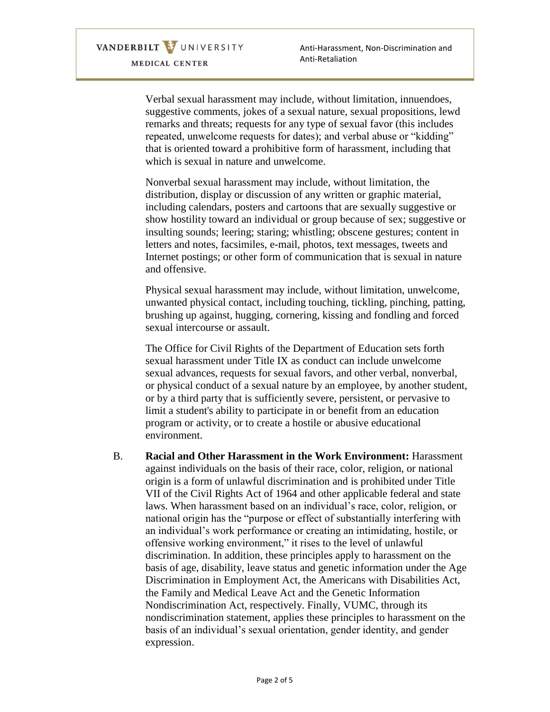VANDERBILT VUNIVERSITY MEDICAL CENTER

Verbal sexual harassment may include, without limitation, innuendoes, suggestive comments, jokes of a sexual nature, sexual propositions, lewd remarks and threats; requests for any type of sexual favor (this includes repeated, unwelcome requests for dates); and verbal abuse or "kidding" that is oriented toward a prohibitive form of harassment, including that which is sexual in nature and unwelcome.

Nonverbal sexual harassment may include, without limitation, the distribution, display or discussion of any written or graphic material, including calendars, posters and cartoons that are sexually suggestive or show hostility toward an individual or group because of sex; suggestive or insulting sounds; leering; staring; whistling; obscene gestures; content in letters and notes, facsimiles, e-mail, photos, text messages, tweets and Internet postings; or other form of communication that is sexual in nature and offensive.

Physical sexual harassment may include, without limitation, unwelcome, unwanted physical contact, including touching, tickling, pinching, patting, brushing up against, hugging, cornering, kissing and fondling and forced sexual intercourse or assault.

The Office for Civil Rights of the Department of Education sets forth sexual harassment under Title IX as conduct can include unwelcome sexual advances, requests for sexual favors, and other verbal, nonverbal, or physical conduct of a sexual nature by an employee, by another student, or by a third party that is sufficiently severe, persistent, or pervasive to limit a student's ability to participate in or benefit from an education program or activity, or to create a hostile or abusive educational environment.

B. **Racial and Other Harassment in the Work Environment:** Harassment against individuals on the basis of their race, color, religion, or national origin is a form of unlawful discrimination and is prohibited under Title VII of the Civil Rights Act of 1964 and other applicable federal and state laws. When harassment based on an individual's race, color, religion, or national origin has the "purpose or effect of substantially interfering with an individual's work performance or creating an intimidating, hostile, or offensive working environment," it rises to the level of unlawful discrimination. In addition, these principles apply to harassment on the basis of age, disability, leave status and genetic information under the Age Discrimination in Employment Act, the Americans with Disabilities Act, the Family and Medical Leave Act and the Genetic Information Nondiscrimination Act, respectively. Finally, VUMC, through its nondiscrimination statement, applies these principles to harassment on the basis of an individual's sexual orientation, gender identity, and gender expression.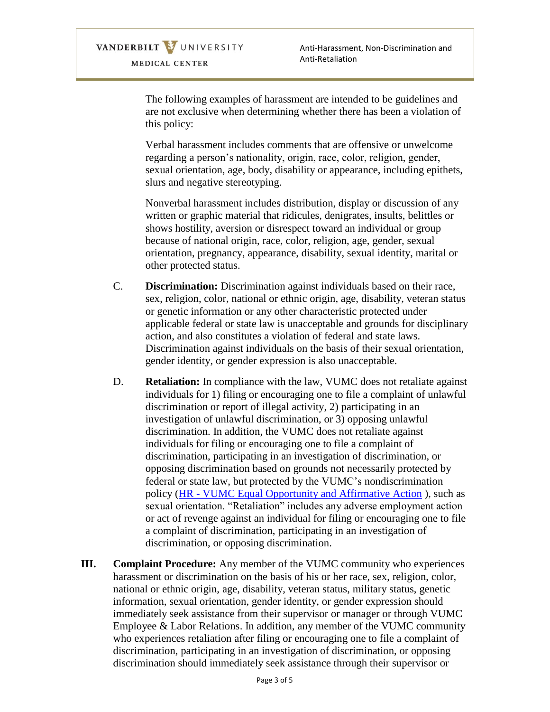Anti-Harassment, Non-Discrimination and Anti-Retaliation

The following examples of harassment are intended to be guidelines and are not exclusive when determining whether there has been a violation of this policy:

Verbal harassment includes comments that are offensive or unwelcome regarding a person's nationality, origin, race, color, religion, gender, sexual orientation, age, body, disability or appearance, including epithets, slurs and negative stereotyping.

Nonverbal harassment includes distribution, display or discussion of any written or graphic material that ridicules, denigrates, insults, belittles or shows hostility, aversion or disrespect toward an individual or group because of national origin, race, color, religion, age, gender, sexual orientation, pregnancy, appearance, disability, sexual identity, marital or other protected status.

- C. **Discrimination:** Discrimination against individuals based on their race, sex, religion, color, national or ethnic origin, age, disability, veteran status or genetic information or any other characteristic protected under applicable federal or state law is unacceptable and grounds for disciplinary action, and also constitutes a violation of federal and state laws. Discrimination against individuals on the basis of their sexual orientation, gender identity, or gender expression is also unacceptable.
- D. **Retaliation:** In compliance with the law, VUMC does not retaliate against individuals for 1) filing or encouraging one to file a complaint of unlawful discrimination or report of illegal activity, 2) participating in an investigation of unlawful discrimination, or 3) opposing unlawful discrimination. In addition, the VUMC does not retaliate against individuals for filing or encouraging one to file a complaint of discrimination, participating in an investigation of discrimination, or opposing discrimination based on grounds not necessarily protected by federal or state law, but protected by the VUMC's nondiscrimination policy (HR - [VUMC Equal Opportunity and Affirmative Action](https://vanderbilt.policytech.com/docview/?docid=30161) ), such as sexual orientation. "Retaliation" includes any adverse employment action or act of revenge against an individual for filing or encouraging one to file a complaint of discrimination, participating in an investigation of discrimination, or opposing discrimination.
- **III. Complaint Procedure:** Any member of the VUMC community who experiences harassment or discrimination on the basis of his or her race, sex, religion, color, national or ethnic origin, age, disability, veteran status, military status, genetic information, sexual orientation, gender identity, or gender expression should immediately seek assistance from their supervisor or manager or through VUMC Employee & Labor Relations. In addition, any member of the VUMC community who experiences retaliation after filing or encouraging one to file a complaint of discrimination, participating in an investigation of discrimination, or opposing discrimination should immediately seek assistance through their supervisor or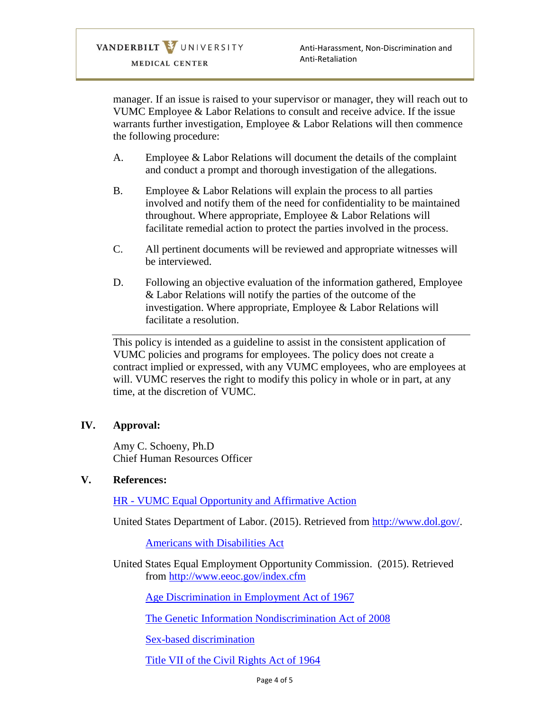manager. If an issue is raised to your supervisor or manager, they will reach out to VUMC Employee & Labor Relations to consult and receive advice. If the issue warrants further investigation, Employee & Labor Relations will then commence the following procedure:

- A. Employee & Labor Relations will document the details of the complaint and conduct a prompt and thorough investigation of the allegations.
- B. Employee & Labor Relations will explain the process to all parties involved and notify them of the need for confidentiality to be maintained throughout. Where appropriate, Employee & Labor Relations will facilitate remedial action to protect the parties involved in the process.
- C. All pertinent documents will be reviewed and appropriate witnesses will be interviewed.
- D. Following an objective evaluation of the information gathered, Employee & Labor Relations will notify the parties of the outcome of the investigation. Where appropriate, Employee & Labor Relations will facilitate a resolution.

This policy is intended as a guideline to assist in the consistent application of VUMC policies and programs for employees. The policy does not create a contract implied or expressed, with any VUMC employees, who are employees at will. VUMC reserves the right to modify this policy in whole or in part, at any time, at the discretion of VUMC.

## **IV. Approval:**

Amy C. Schoeny, Ph.D Chief Human Resources Officer

## **V. References:**

HR - [VUMC Equal Opportunity and Affirmative Action](https://vanderbilt.policytech.com/docview/?docid=30161)

United States Department of Labor. (2015). Retrieved from [http://www.dol.gov/.](http://www.dol.gov/)

[Americans with Disabilities Act](http://www.dol.gov/dol/topic/disability/ada.htm)

United States Equal Employment Opportunity Commission. (2015). Retrieved from<http://www.eeoc.gov/index.cfm>

[Age Discrimination in Employment Act of 1967](http://www.eeoc.gov/laws/statutes/adea.cfm)

[The Genetic Information Nondiscrimination Act of 2008](http://www.eeoc.gov/laws/statutes/gina.cfm)

[Sex-based discrimination](http://www.eeoc.gov/laws/types/sex.cfm)

[Title VII of the Civil Rights Act of 1964](http://www.eeoc.gov/laws/statutes/titlevii.cfm)